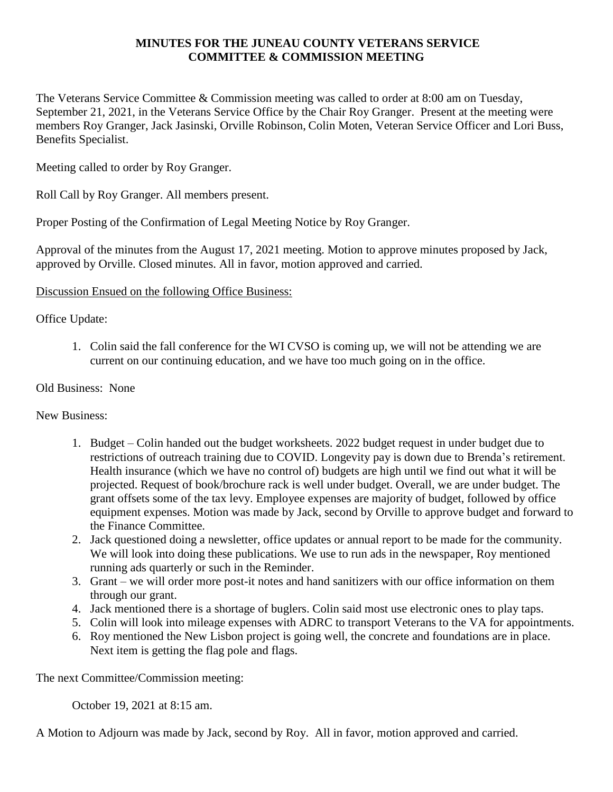#### **MINUTES FOR THE JUNEAU COUNTY VETERANS SERVICE COMMITTEE & COMMISSION MEETING**

The Veterans Service Committee & Commission meeting was called to order at 8:00 am on Tuesday, September 21, 2021, in the Veterans Service Office by the Chair Roy Granger. Present at the meeting were members Roy Granger, Jack Jasinski, Orville Robinson, Colin Moten, Veteran Service Officer and Lori Buss, Benefits Specialist.

Meeting called to order by Roy Granger.

Roll Call by Roy Granger. All members present.

Proper Posting of the Confirmation of Legal Meeting Notice by Roy Granger.

Approval of the minutes from the August 17, 2021 meeting. Motion to approve minutes proposed by Jack, approved by Orville. Closed minutes. All in favor, motion approved and carried.

## Discussion Ensued on the following Office Business:

## Office Update:

1. Colin said the fall conference for the WI CVSO is coming up, we will not be attending we are current on our continuing education, and we have too much going on in the office.

#### Old Business: None

New Business:

- 1. Budget Colin handed out the budget worksheets. 2022 budget request in under budget due to restrictions of outreach training due to COVID. Longevity pay is down due to Brenda's retirement. Health insurance (which we have no control of) budgets are high until we find out what it will be projected. Request of book/brochure rack is well under budget. Overall, we are under budget. The grant offsets some of the tax levy. Employee expenses are majority of budget, followed by office equipment expenses. Motion was made by Jack, second by Orville to approve budget and forward to the Finance Committee.
- 2. Jack questioned doing a newsletter, office updates or annual report to be made for the community. We will look into doing these publications. We use to run ads in the newspaper, Roy mentioned running ads quarterly or such in the Reminder.
- 3. Grant we will order more post-it notes and hand sanitizers with our office information on them through our grant.
- 4. Jack mentioned there is a shortage of buglers. Colin said most use electronic ones to play taps.
- 5. Colin will look into mileage expenses with ADRC to transport Veterans to the VA for appointments.
- 6. Roy mentioned the New Lisbon project is going well, the concrete and foundations are in place. Next item is getting the flag pole and flags.

The next Committee/Commission meeting:

October 19, 2021 at 8:15 am.

A Motion to Adjourn was made by Jack, second by Roy. All in favor, motion approved and carried.